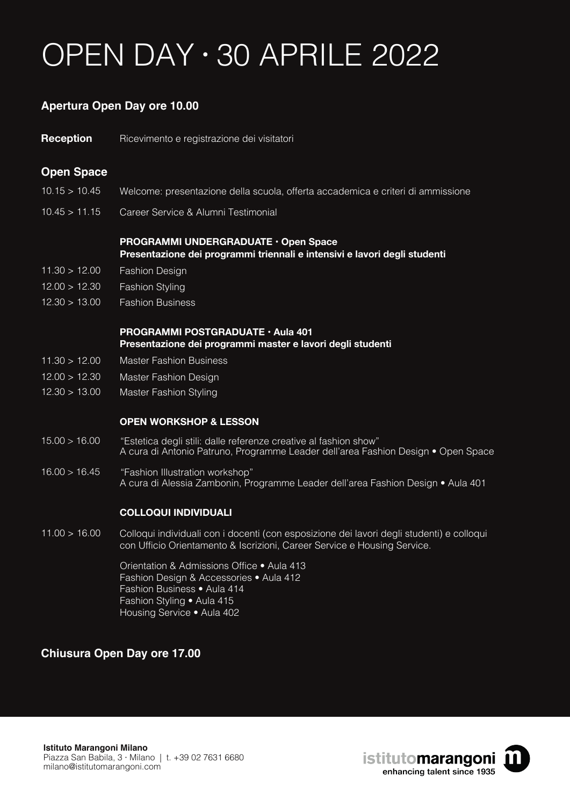# OPEN DAY · 30 APRILE 2022

## **Apertura Open Day ore 10.00**

Ricevimento e registrazione dei visitatori **Reception**

## **Open Space**

- $10.15 > 10.45$ Welcome: presentazione della scuola, offerta accademica e criteri di ammissione
- $10.45 > 11.15$ Career Service & Alumni Testimonial

### **PROGRAMMI UNDERGRADUATE • Open Space Presentazione dei programmi triennali e intensivi e lavori degli studenti**

- $11.30 > 12.00$ Fashion Design
- $12.00 > 12.30$ Fashion Styling
- $12.30 > 13.00$ Fashion Business

### **PROGRAMMI POSTGRADUATE • Aula 401 Presentazione dei programmi master e lavori degli studenti**

- $11.30 > 12.00$ Master Fashion Business
- $12.00 > 12.30$ Master Fashion Design
- $12.30 > 13.00$ Master Fashion Styling

#### **OPEN WORKSHOP & LESSON**

- $15.00 > 16.00$ "Estetica degli stili: dalle referenze creative al fashion show" A cura di Antonio Patruno, Programme Leader dell'area Fashion Design • Open Space
- 16.00 > 16.45 "Fashion Illustration workshop" A cura di Alessia Zambonin, Programme Leader dell'area Fashion Design • Aula 401

#### **COLLOQUI INDIVIDUALI**

 $11.00 > 16.00$ Colloqui individuali con i docenti (con esposizione dei lavori degli studenti) e colloqui con Ufficio Orientamento & Iscrizioni, Career Service e Housing Service.

> Orientation & Admissions Office • Aula 413 Fashion Design & Accessories • Aula 412 Fashion Business • Aula 414 Fashion Styling • Aula 415 Housing Service • Aula 402

## **Chiusura Open Day ore 17.00**